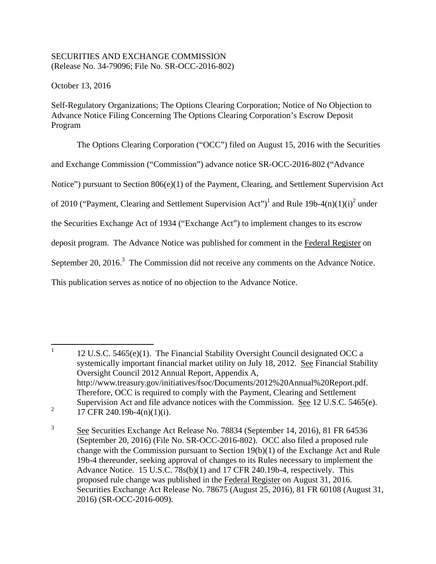# SECURITIES AND EXCHANGE COMMISSION (Release No. 34-79096; File No. SR-OCC-2016-802)

October 13, 2016

Self-Regulatory Organizations; The Options Clearing Corporation; Notice of No Objection to Advance Notice Filing Concerning The Options Clearing Corporation's Escrow Deposit Program

The Options Clearing Corporation ("OCC") filed on August 15, 2016 with the Securities

and Exchange Commission ("Commission") advance notice SR-OCC-2016-802 ("Advance

Notice") pursuant to Section 806(e)(1) of the Payment, Clearing, and Settlement Supervision Act

of 2010 ("Payment, Clearing and Settlement Supervision Act")<sup>1</sup> and Rule 19b-4 $(n)(1)(i)^2$  under

the Securities Exchange Act of 1934 ("Exchange Act") to implement changes to its escrow

deposit program. The Advance Notice was published for comment in the Federal Register on

September 20,  $2016$ .<sup>3</sup> The Commission did not receive any comments on the Advance Notice.

This publication serves as notice of no objection to the Advance Notice.

17 CFR 240.19b-4(n)(1)(i).

 1 12 U.S.C. 5465(e)(1). The Financial Stability Oversight Council designated OCC a systemically important financial market utility on July 18, 2012. See Financial Stability Oversight Council 2012 Annual Report, Appendix A, http://www.treasury.gov/initiatives/fsoc/Documents/2012%20Annual%20Report.pdf. Therefore, OCC is required to comply with the Payment, Clearing and Settlement Supervision Act and file advance notices with the Commission. See 12 U.S.C. 5465(e). 2

<sup>3</sup> See Securities Exchange Act Release No. 78834 (September 14, 2016), 81 FR 64536 (September 20, 2016) (File No. SR-OCC-2016-802). OCC also filed a proposed rule change with the Commission pursuant to Section 19(b)(1) of the Exchange Act and Rule 19b-4 thereunder, seeking approval of changes to its Rules necessary to implement the Advance Notice. 15 U.S.C. 78s(b)(1) and 17 CFR 240.19b-4, respectively. This proposed rule change was published in the Federal Register on August 31, 2016. Securities Exchange Act Release No. 78675 (August 25, 2016), 81 FR 60108 (August 31, 2016) (SR-OCC-2016-009).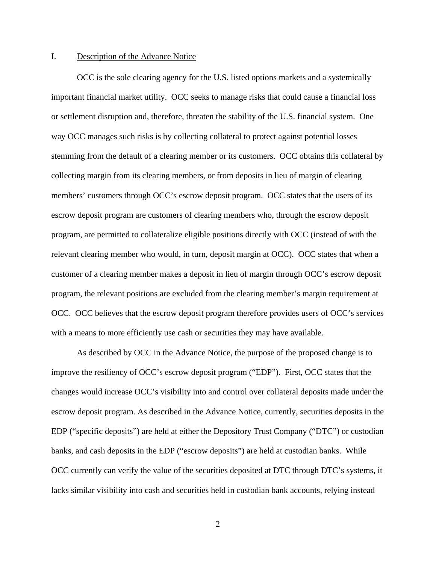#### I. Description of the Advance Notice

OCC is the sole clearing agency for the U.S. listed options markets and a systemically important financial market utility. OCC seeks to manage risks that could cause a financial loss or settlement disruption and, therefore, threaten the stability of the U.S. financial system. One way OCC manages such risks is by collecting collateral to protect against potential losses stemming from the default of a clearing member or its customers. OCC obtains this collateral by collecting margin from its clearing members, or from deposits in lieu of margin of clearing members' customers through OCC's escrow deposit program. OCC states that the users of its escrow deposit program are customers of clearing members who, through the escrow deposit program, are permitted to collateralize eligible positions directly with OCC (instead of with the relevant clearing member who would, in turn, deposit margin at OCC). OCC states that when a customer of a clearing member makes a deposit in lieu of margin through OCC's escrow deposit program, the relevant positions are excluded from the clearing member's margin requirement at OCC. OCC believes that the escrow deposit program therefore provides users of OCC's services with a means to more efficiently use cash or securities they may have available.

As described by OCC in the Advance Notice, the purpose of the proposed change is to improve the resiliency of OCC's escrow deposit program ("EDP"). First, OCC states that the changes would increase OCC's visibility into and control over collateral deposits made under the escrow deposit program. As described in the Advance Notice, currently, securities deposits in the EDP ("specific deposits") are held at either the Depository Trust Company ("DTC") or custodian banks, and cash deposits in the EDP ("escrow deposits") are held at custodian banks. While OCC currently can verify the value of the securities deposited at DTC through DTC's systems, it lacks similar visibility into cash and securities held in custodian bank accounts, relying instead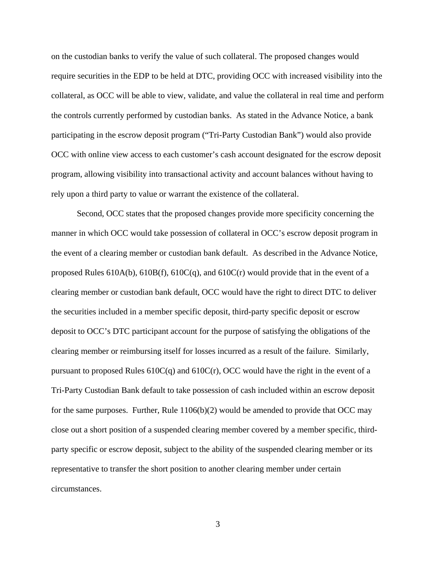on the custodian banks to verify the value of such collateral. The proposed changes would require securities in the EDP to be held at DTC, providing OCC with increased visibility into the collateral, as OCC will be able to view, validate, and value the collateral in real time and perform the controls currently performed by custodian banks. As stated in the Advance Notice, a bank participating in the escrow deposit program ("Tri-Party Custodian Bank") would also provide OCC with online view access to each customer's cash account designated for the escrow deposit program, allowing visibility into transactional activity and account balances without having to rely upon a third party to value or warrant the existence of the collateral.

Second, OCC states that the proposed changes provide more specificity concerning the manner in which OCC would take possession of collateral in OCC's escrow deposit program in the event of a clearing member or custodian bank default. As described in the Advance Notice, proposed Rules 610A(b), 610B(f), 610C(q), and 610C(r) would provide that in the event of a clearing member or custodian bank default, OCC would have the right to direct DTC to deliver the securities included in a member specific deposit, third-party specific deposit or escrow deposit to OCC's DTC participant account for the purpose of satisfying the obligations of the clearing member or reimbursing itself for losses incurred as a result of the failure. Similarly, pursuant to proposed Rules  $610C(q)$  and  $610C(r)$ , OCC would have the right in the event of a Tri-Party Custodian Bank default to take possession of cash included within an escrow deposit for the same purposes. Further, Rule  $1106(b)(2)$  would be amended to provide that OCC may close out a short position of a suspended clearing member covered by a member specific, thirdparty specific or escrow deposit, subject to the ability of the suspended clearing member or its representative to transfer the short position to another clearing member under certain circumstances.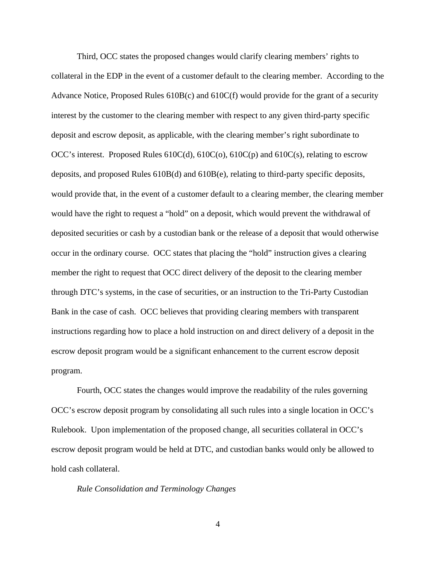Third, OCC states the proposed changes would clarify clearing members' rights to collateral in the EDP in the event of a customer default to the clearing member. According to the Advance Notice, Proposed Rules 610B(c) and 610C(f) would provide for the grant of a security interest by the customer to the clearing member with respect to any given third-party specific deposit and escrow deposit, as applicable, with the clearing member's right subordinate to OCC's interest. Proposed Rules 610C(d), 610C(o), 610C(p) and 610C(s), relating to escrow deposits, and proposed Rules 610B(d) and 610B(e), relating to third-party specific deposits, would provide that, in the event of a customer default to a clearing member, the clearing member would have the right to request a "hold" on a deposit, which would prevent the withdrawal of deposited securities or cash by a custodian bank or the release of a deposit that would otherwise occur in the ordinary course. OCC states that placing the "hold" instruction gives a clearing member the right to request that OCC direct delivery of the deposit to the clearing member through DTC's systems, in the case of securities, or an instruction to the Tri-Party Custodian Bank in the case of cash. OCC believes that providing clearing members with transparent instructions regarding how to place a hold instruction on and direct delivery of a deposit in the escrow deposit program would be a significant enhancement to the current escrow deposit program.

Fourth, OCC states the changes would improve the readability of the rules governing OCC's escrow deposit program by consolidating all such rules into a single location in OCC's Rulebook. Upon implementation of the proposed change, all securities collateral in OCC's escrow deposit program would be held at DTC, and custodian banks would only be allowed to hold cash collateral.

*Rule Consolidation and Terminology Changes*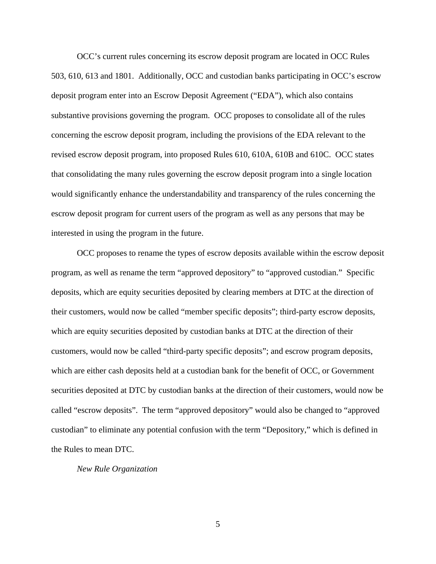OCC's current rules concerning its escrow deposit program are located in OCC Rules 503, 610, 613 and 1801. Additionally, OCC and custodian banks participating in OCC's escrow deposit program enter into an Escrow Deposit Agreement ("EDA"), which also contains substantive provisions governing the program. OCC proposes to consolidate all of the rules concerning the escrow deposit program, including the provisions of the EDA relevant to the revised escrow deposit program, into proposed Rules 610, 610A, 610B and 610C. OCC states that consolidating the many rules governing the escrow deposit program into a single location would significantly enhance the understandability and transparency of the rules concerning the escrow deposit program for current users of the program as well as any persons that may be interested in using the program in the future.

OCC proposes to rename the types of escrow deposits available within the escrow deposit program, as well as rename the term "approved depository" to "approved custodian." Specific deposits, which are equity securities deposited by clearing members at DTC at the direction of their customers, would now be called "member specific deposits"; third-party escrow deposits, which are equity securities deposited by custodian banks at DTC at the direction of their customers, would now be called "third-party specific deposits"; and escrow program deposits, which are either cash deposits held at a custodian bank for the benefit of OCC, or Government securities deposited at DTC by custodian banks at the direction of their customers, would now be called "escrow deposits". The term "approved depository" would also be changed to "approved custodian" to eliminate any potential confusion with the term "Depository," which is defined in the Rules to mean DTC.

*New Rule Organization*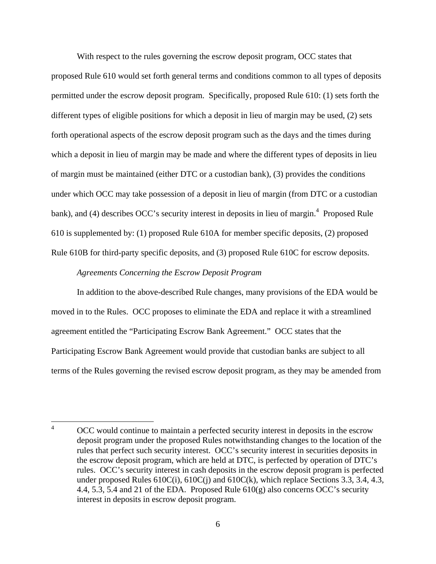With respect to the rules governing the escrow deposit program, OCC states that proposed Rule 610 would set forth general terms and conditions common to all types of deposits permitted under the escrow deposit program. Specifically, proposed Rule 610: (1) sets forth the different types of eligible positions for which a deposit in lieu of margin may be used, (2) sets forth operational aspects of the escrow deposit program such as the days and the times during which a deposit in lieu of margin may be made and where the different types of deposits in lieu of margin must be maintained (either DTC or a custodian bank), (3) provides the conditions under which OCC may take possession of a deposit in lieu of margin (from DTC or a custodian bank), and (4) describes OCC's security interest in deposits in lieu of margin.<sup>4</sup> Proposed Rule 610 is supplemented by: (1) proposed Rule 610A for member specific deposits, (2) proposed Rule 610B for third-party specific deposits, and (3) proposed Rule 610C for escrow deposits.

### *Agreements Concerning the Escrow Deposit Program*

In addition to the above-described Rule changes, many provisions of the EDA would be moved in to the Rules. OCC proposes to eliminate the EDA and replace it with a streamlined agreement entitled the "Participating Escrow Bank Agreement." OCC states that the Participating Escrow Bank Agreement would provide that custodian banks are subject to all terms of the Rules governing the revised escrow deposit program, as they may be amended from

 4 OCC would continue to maintain a perfected security interest in deposits in the escrow deposit program under the proposed Rules notwithstanding changes to the location of the rules that perfect such security interest. OCC's security interest in securities deposits in the escrow deposit program, which are held at DTC, is perfected by operation of DTC's rules. OCC's security interest in cash deposits in the escrow deposit program is perfected under proposed Rules  $610C(i)$ ,  $610C(i)$  and  $610C(k)$ , which replace Sections 3.3, 3.4, 4.3, 4.4, 5.3, 5.4 and 21 of the EDA. Proposed Rule 610(g) also concerns OCC's security interest in deposits in escrow deposit program.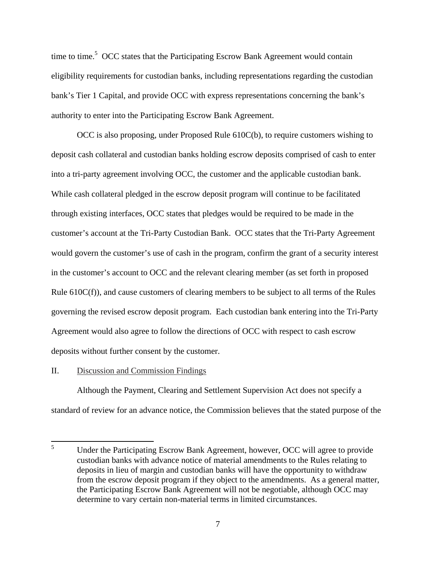time to time.<sup>5</sup> OCC states that the Participating Escrow Bank Agreement would contain eligibility requirements for custodian banks, including representations regarding the custodian bank's Tier 1 Capital, and provide OCC with express representations concerning the bank's authority to enter into the Participating Escrow Bank Agreement.

OCC is also proposing, under Proposed Rule 610C(b), to require customers wishing to deposit cash collateral and custodian banks holding escrow deposits comprised of cash to enter into a tri-party agreement involving OCC, the customer and the applicable custodian bank. While cash collateral pledged in the escrow deposit program will continue to be facilitated through existing interfaces, OCC states that pledges would be required to be made in the customer's account at the Tri-Party Custodian Bank. OCC states that the Tri-Party Agreement would govern the customer's use of cash in the program, confirm the grant of a security interest in the customer's account to OCC and the relevant clearing member (as set forth in proposed Rule 610C(f)), and cause customers of clearing members to be subject to all terms of the Rules governing the revised escrow deposit program. Each custodian bank entering into the Tri-Party Agreement would also agree to follow the directions of OCC with respect to cash escrow deposits without further consent by the customer.

### II. Discussion and Commission Findings

Although the Payment, Clearing and Settlement Supervision Act does not specify a standard of review for an advance notice, the Commission believes that the stated purpose of the

 5 Under the Participating Escrow Bank Agreement, however, OCC will agree to provide custodian banks with advance notice of material amendments to the Rules relating to deposits in lieu of margin and custodian banks will have the opportunity to withdraw from the escrow deposit program if they object to the amendments. As a general matter, the Participating Escrow Bank Agreement will not be negotiable, although OCC may determine to vary certain non-material terms in limited circumstances.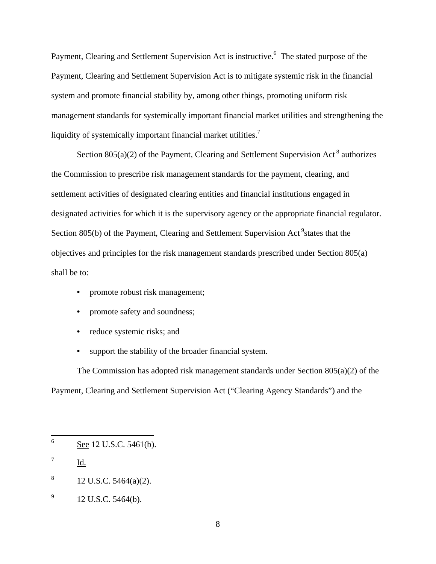Payment, Clearing and Settlement Supervision Act is instructive.<sup>6</sup> The stated purpose of the Payment, Clearing and Settlement Supervision Act is to mitigate systemic risk in the financial system and promote financial stability by, among other things, promoting uniform risk management standards for systemically important financial market utilities and strengthening the liquidity of systemically important financial market utilities.<sup>7</sup>

Section  $805(a)(2)$  of the Payment, Clearing and Settlement Supervision Act<sup>8</sup> authorizes the Commission to prescribe risk management standards for the payment, clearing, and settlement activities of designated clearing entities and financial institutions engaged in designated activities for which it is the supervisory agency or the appropriate financial regulator. Section 805(b) of the Payment, Clearing and Settlement Supervision Act<sup>9</sup> states that the objectives and principles for the risk management standards prescribed under Section 805(a) shall be to:

- promote robust risk management;
- promote safety and soundness;
- reduce systemic risks; and
- support the stability of the broader financial system.

The Commission has adopted risk management standards under Section 805(a)(2) of the Payment, Clearing and Settlement Supervision Act ("Clearing Agency Standards") and the

8 12 U.S.C. 5464(a)(2).

 6 See 12 U.S.C. 5461(b).

<sup>7</sup> Id.

<sup>9</sup> 12 U.S.C. 5464(b).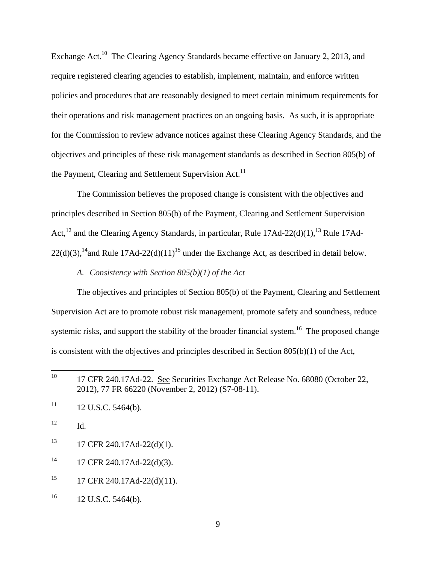Exchange Act.<sup>10</sup> The Clearing Agency Standards became effective on January 2, 2013, and require registered clearing agencies to establish, implement, maintain, and enforce written policies and procedures that are reasonably designed to meet certain minimum requirements for their operations and risk management practices on an ongoing basis. As such, it is appropriate for the Commission to review advance notices against these Clearing Agency Standards, and the objectives and principles of these risk management standards as described in Section 805(b) of the Payment, Clearing and Settlement Supervision Act.<sup>11</sup>

The Commission believes the proposed change is consistent with the objectives and principles described in Section 805(b) of the Payment, Clearing and Settlement Supervision Act,<sup>12</sup> and the Clearing Agency Standards, in particular, Rule 17Ad-22(d)(1),<sup>13</sup> Rule 17Ad- $22(d)(3)$ ,<sup>14</sup>and Rule 17Ad-22(d)(11)<sup>15</sup> under the Exchange Act, as described in detail below.

*A. Consistency with Section 805(b)(1) of the Act* 

The objectives and principles of Section 805(b) of the Payment, Clearing and Settlement Supervision Act are to promote robust risk management, promote safety and soundness, reduce systemic risks, and support the stability of the broader financial system.<sup>16</sup> The proposed change is consistent with the objectives and principles described in Section 805(b)(1) of the Act,

- $13$  17 CFR 240.17Ad-22(d)(1).
- $14$  17 CFR 240.17Ad-22(d)(3).
- <sup>15</sup> 17 CFR 240.17Ad-22(d)(11).
- $16$  12 U.S.C. 5464(b).

<sup>&</sup>lt;sup>10</sup> 17 CFR 240.17Ad-22. See Securities Exchange Act Release No. 68080 (October 22, 2012), 77 FR 66220 (November 2, 2012) (S7-08-11).

 $11 \quad 12 \text{ U.S.C. } 5464 \text{ (b)}.$ 

<sup>12</sup> Id.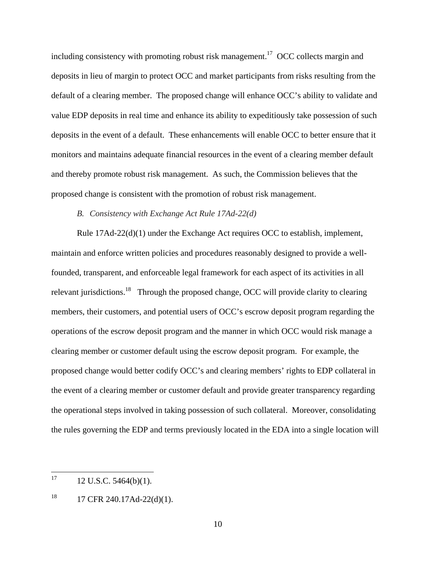including consistency with promoting robust risk management.<sup>17</sup> OCC collects margin and deposits in lieu of margin to protect OCC and market participants from risks resulting from the default of a clearing member. The proposed change will enhance OCC's ability to validate and value EDP deposits in real time and enhance its ability to expeditiously take possession of such deposits in the event of a default. These enhancements will enable OCC to better ensure that it monitors and maintains adequate financial resources in the event of a clearing member default and thereby promote robust risk management. As such, the Commission believes that the proposed change is consistent with the promotion of robust risk management.

## *B. Consistency with Exchange Act Rule 17Ad-22(d)*

Rule 17Ad-22(d)(1) under the Exchange Act requires OCC to establish, implement, maintain and enforce written policies and procedures reasonably designed to provide a wellfounded, transparent, and enforceable legal framework for each aspect of its activities in all relevant jurisdictions.<sup>18</sup> Through the proposed change, OCC will provide clarity to clearing members, their customers, and potential users of OCC's escrow deposit program regarding the operations of the escrow deposit program and the manner in which OCC would risk manage a clearing member or customer default using the escrow deposit program. For example, the proposed change would better codify OCC's and clearing members' rights to EDP collateral in the event of a clearing member or customer default and provide greater transparency regarding the operational steps involved in taking possession of such collateral. Moreover, consolidating the rules governing the EDP and terms previously located in the EDA into a single location will

  $17 \t12$  U.S.C. 5464(b)(1).

 $18$  17 CFR 240.17Ad-22(d)(1).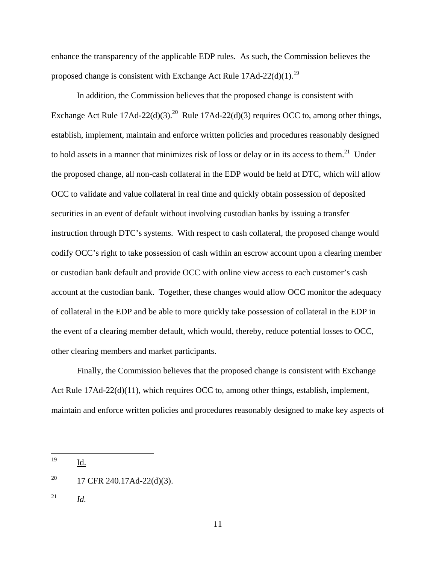enhance the transparency of the applicable EDP rules. As such, the Commission believes the proposed change is consistent with Exchange Act Rule  $17\text{Ad}-22\text{(d)}(1)$ .<sup>19</sup>

In addition, the Commission believes that the proposed change is consistent with Exchange Act Rule  $17$ Ad-22(d)(3).<sup>20</sup> Rule  $17$ Ad-22(d)(3) requires OCC to, among other things, establish, implement, maintain and enforce written policies and procedures reasonably designed to hold assets in a manner that minimizes risk of loss or delay or in its access to them.<sup>21</sup> Under the proposed change, all non-cash collateral in the EDP would be held at DTC, which will allow OCC to validate and value collateral in real time and quickly obtain possession of deposited securities in an event of default without involving custodian banks by issuing a transfer instruction through DTC's systems. With respect to cash collateral, the proposed change would codify OCC's right to take possession of cash within an escrow account upon a clearing member or custodian bank default and provide OCC with online view access to each customer's cash account at the custodian bank. Together, these changes would allow OCC monitor the adequacy of collateral in the EDP and be able to more quickly take possession of collateral in the EDP in the event of a clearing member default, which would, thereby, reduce potential losses to OCC, other clearing members and market participants.

Finally, the Commission believes that the proposed change is consistent with Exchange Act Rule 17Ad-22(d)(11), which requires OCC to, among other things, establish, implement, maintain and enforce written policies and procedures reasonably designed to make key aspects of

 $^{21}$  *Id.* 

<sup>19</sup> Id.

<sup>&</sup>lt;sup>20</sup> 17 CFR 240.17Ad-22(d)(3).